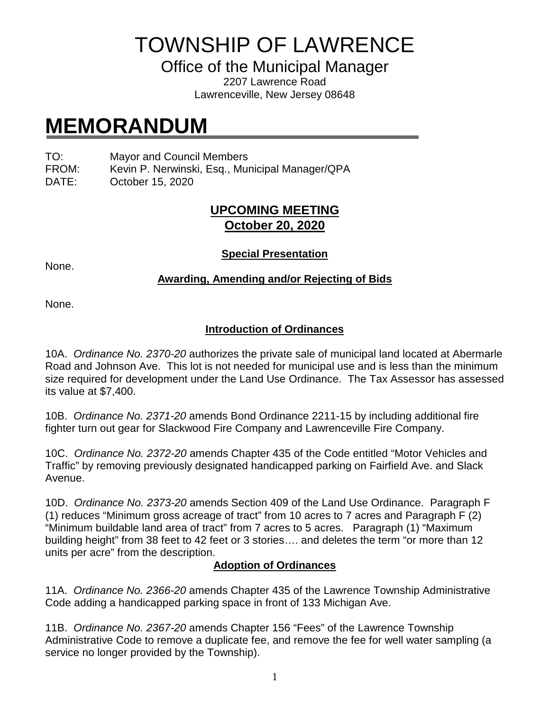## TOWNSHIP OF LAWRENCE

Office of the Municipal Manager

2207 Lawrence Road Lawrenceville, New Jersey 08648

# **MEMORANDUM**

TO: Mayor and Council Members

FROM: Kevin P. Nerwinski, Esq., Municipal Manager/QPA

DATE: October 15, 2020

## **UPCOMING MEETING October 20, 2020**

None.

#### **Special Presentation**

### **Awarding, Amending and/or Rejecting of Bids**

None.

## **Introduction of Ordinances**

10A. *Ordinance No. 2370-20* authorizes the private sale of municipal land located at Abermarle Road and Johnson Ave. This lot is not needed for municipal use and is less than the minimum size required for development under the Land Use Ordinance. The Tax Assessor has assessed its value at \$7,400.

10B. *Ordinance No. 2371-20* amends Bond Ordinance 2211-15 by including additional fire fighter turn out gear for Slackwood Fire Company and Lawrenceville Fire Company.

10C. *Ordinance No. 2372-20* amends Chapter 435 of the Code entitled "Motor Vehicles and Traffic" by removing previously designated handicapped parking on Fairfield Ave. and Slack Avenue.

10D. *Ordinance No. 2373-20* amends Section 409 of the Land Use Ordinance. Paragraph F (1) reduces "Minimum gross acreage of tract" from 10 acres to 7 acres and Paragraph F (2) "Minimum buildable land area of tract" from 7 acres to 5 acres. Paragraph (1) "Maximum building height" from 38 feet to 42 feet or 3 stories…. and deletes the term "or more than 12 units per acre" from the description.

#### **Adoption of Ordinances**

11A. *Ordinance No. 2366-20* amends Chapter 435 of the Lawrence Township Administrative Code adding a handicapped parking space in front of 133 Michigan Ave.

11B. *Ordinance No. 2367-20* amends Chapter 156 "Fees" of the Lawrence Township Administrative Code to remove a duplicate fee, and remove the fee for well water sampling (a service no longer provided by the Township).